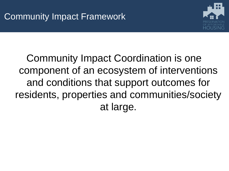

Community Impact Coordination is one component of an ecosystem of interventions and conditions that support outcomes for residents, properties and communities/society at large.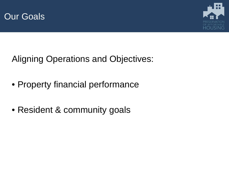



Aligning Operations and Objectives:

- Property financial performance
- Resident & community goals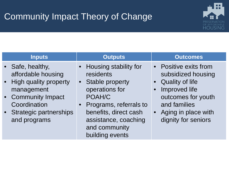## Community Impact Theory of Change



| <b>Inputs</b>                                                                                                                                                     | <b>Outputs</b>                                                                                                                                                                                                         | <b>Outcomes</b>                                                                                                                                                                         |
|-------------------------------------------------------------------------------------------------------------------------------------------------------------------|------------------------------------------------------------------------------------------------------------------------------------------------------------------------------------------------------------------------|-----------------------------------------------------------------------------------------------------------------------------------------------------------------------------------------|
| • Safe, healthy,<br>affordable housing<br>• High quality property<br>management<br>• Community Impact<br>Coordination<br>• Strategic partnerships<br>and programs | • Housing stability for<br>residents<br><b>Stable property</b><br>$\bullet$<br>operations for<br>POAH/C<br>Programs, referrals to<br>benefits, direct cash<br>assistance, coaching<br>and community<br>building events | • Positive exits from<br>subsidized housing<br><b>Quality of life</b><br>Improved life<br>outcomes for youth<br>and families<br>Aging in place with<br>$\bullet$<br>dignity for seniors |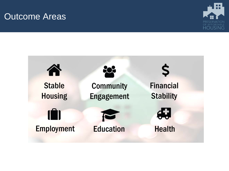### Outcome Areas



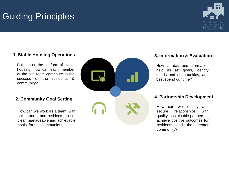# Guiding Principles



Building on the platform of stable housing, how can each member of the site team contribute to the success of the residents & community?

How can we work as a team, with our partners and residents, to set clear, manageable and achievable goals for the Community?



How can data and information help us set goals, identify needs and opportunities, and best spend our time?

How can we identify and secure relationships with quality, sustainable partners to achieve positive outcomes for residents and the greater community?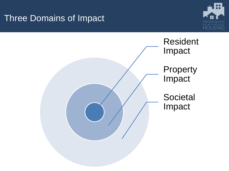### Three Domains of Impact